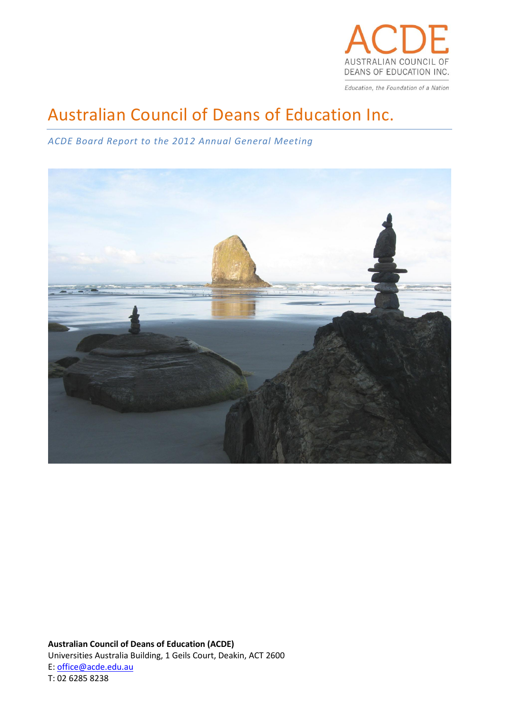

Education, the Foundation of a Nation

# Australian Council of Deans of Education Inc.

# *ACDE Board Report to the 2012 Annual General Meeting*



**Australian Council of Deans of Education (ACDE)** Universities Australia Building, 1 Geils Court, Deakin, ACT 2600 E: office@acde.edu.au T: 02 6285 8238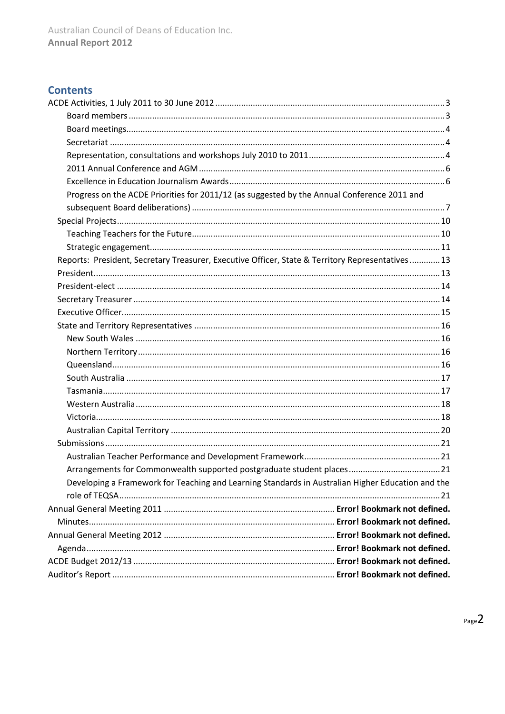# **Contents**

| Progress on the ACDE Priorities for 2011/12 (as suggested by the Annual Conference 2011 and       |  |
|---------------------------------------------------------------------------------------------------|--|
|                                                                                                   |  |
|                                                                                                   |  |
|                                                                                                   |  |
|                                                                                                   |  |
| Reports: President, Secretary Treasurer, Executive Officer, State & Territory Representatives 13  |  |
|                                                                                                   |  |
|                                                                                                   |  |
|                                                                                                   |  |
|                                                                                                   |  |
|                                                                                                   |  |
|                                                                                                   |  |
|                                                                                                   |  |
|                                                                                                   |  |
|                                                                                                   |  |
|                                                                                                   |  |
|                                                                                                   |  |
|                                                                                                   |  |
|                                                                                                   |  |
|                                                                                                   |  |
|                                                                                                   |  |
|                                                                                                   |  |
| Developing a Framework for Teaching and Learning Standards in Australian Higher Education and the |  |
|                                                                                                   |  |
|                                                                                                   |  |
|                                                                                                   |  |
|                                                                                                   |  |
|                                                                                                   |  |
|                                                                                                   |  |
|                                                                                                   |  |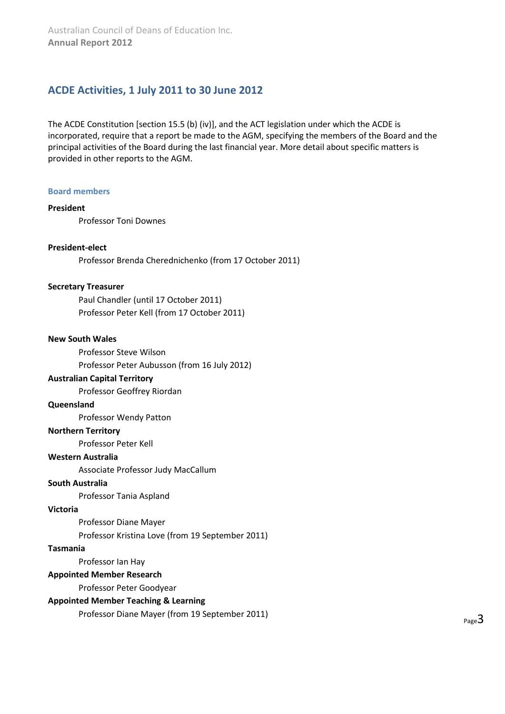# <span id="page-2-0"></span>**ACDE Activities, 1 July 2011 to 30 June 2012**

The ACDE Constitution [section 15.5 (b) (iv)], and the ACT legislation under which the ACDE is incorporated, require that a report be made to the AGM, specifying the members of the Board and the principal activities of the Board during the last financial year. More detail about specific matters is provided in other reports to the AGM.

#### <span id="page-2-1"></span>**Board members**

#### **President**

Professor Toni Downes

#### **President-elect**

Professor Brenda Cherednichenko (from 17 October 2011)

#### **Secretary Treasurer**

Paul Chandler (until 17 October 2011) Professor Peter Kell (from 17 October 2011)

#### **New South Wales**

Professor Steve Wilson Professor Peter Aubusson (from 16 July 2012)

#### **Australian Capital Territory**

Professor Geoffrey Riordan

#### **Queensland**

Professor Wendy Patton

#### **Northern Territory**

Professor Peter Kell

#### **Western Australia**

Associate Professor Judy MacCallum

#### **South Australia**

Professor Tania Aspland

#### **Victoria**

Professor Diane Mayer

Professor Kristina Love (from 19 September 2011)

#### **Tasmania**

Professor Ian Hay

#### **Appointed Member Research**

Professor Peter Goodyear

#### **Appointed Member Teaching & Learning**

Professor Diane Mayer (from 19 September 2011)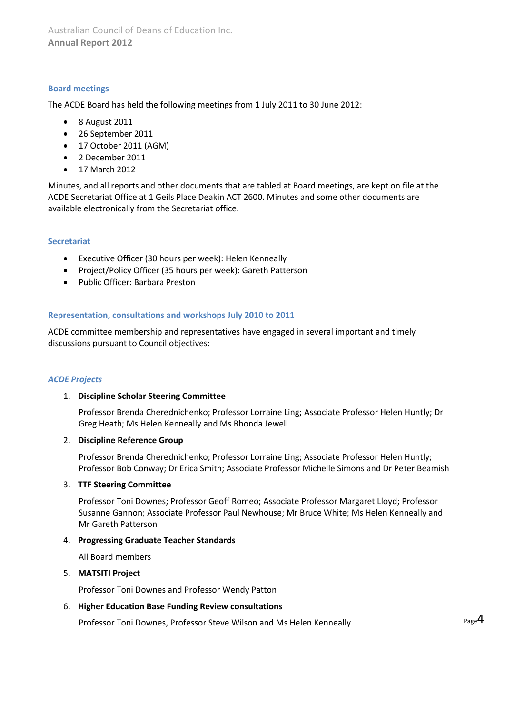Australian Council of Deans of Education Inc. **Annual Report 2012**

#### <span id="page-3-0"></span>**Board meetings**

The ACDE Board has held the following meetings from 1 July 2011 to 30 June 2012:

- 8 August 2011
- 26 September 2011
- 17 October 2011 (AGM)
- 2 December 2011
- 17 March 2012

Minutes, and all reports and other documents that are tabled at Board meetings, are kept on file at the ACDE Secretariat Office at 1 Geils Place Deakin ACT 2600. Minutes and some other documents are available electronically from the Secretariat office.

#### <span id="page-3-1"></span>**Secretariat**

- Executive Officer (30 hours per week): Helen Kenneally
- Project/Policy Officer (35 hours per week): Gareth Patterson
- Public Officer: Barbara Preston

#### <span id="page-3-2"></span>**Representation, consultations and workshops July 2010 to 2011**

ACDE committee membership and representatives have engaged in several important and timely discussions pursuant to Council objectives:

#### *ACDE Projects*

#### 1. **Discipline Scholar Steering Committee**

Professor Brenda Cherednichenko; Professor Lorraine Ling; Associate Professor Helen Huntly; Dr Greg Heath; Ms Helen Kenneally and Ms Rhonda Jewell

#### 2. **Discipline Reference Group**

Professor Brenda Cherednichenko; Professor Lorraine Ling; Associate Professor Helen Huntly; Professor Bob Conway; Dr Erica Smith; Associate Professor Michelle Simons and Dr Peter Beamish

#### 3. **TTF Steering Committee**

Professor Toni Downes; Professor Geoff Romeo; Associate Professor Margaret Lloyd; Professor Susanne Gannon; Associate Professor Paul Newhouse; Mr Bruce White; Ms Helen Kenneally and Mr Gareth Patterson

#### 4. **Progressing Graduate Teacher Standards**

All Board members

#### 5. **MATSITI Project**

Professor Toni Downes and Professor Wendy Patton

#### 6. **Higher Education Base Funding Review consultations**

Professor Toni Downes, Professor Steve Wilson and Ms Helen Kenneally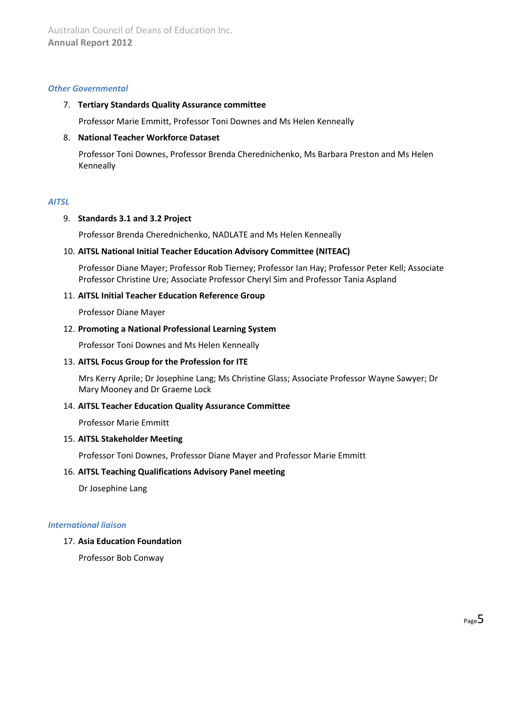#### *Other Governmental*

#### 7. **Tertiary Standards Quality Assurance committee**

Professor Marie Emmitt, Professor Toni Downes and Ms Helen Kenneally

#### 8. **National Teacher Workforce Dataset**

Professor Toni Downes, Professor Brenda Cherednichenko, Ms Barbara Preston and Ms Helen Kenneally

#### *AITSL*

#### 9. **Standards 3.1 and 3.2 Project**

Professor Brenda Cherednichenko, NADLATE and Ms Helen Kenneally

#### 10. **AITSL National Initial Teacher Education Advisory Committee (NITEAC)**

Professor Diane Mayer; Professor Rob Tierney; Professor Ian Hay; Professor Peter Kell; Associate Professor Christine Ure; Associate Professor Cheryl Sim and Professor Tania Aspland

#### 11. **AITSL Initial Teacher Education Reference Group**

Professor Diane Mayer

#### 12. **Promoting a National Professional Learning System**

Professor Toni Downes and Ms Helen Kenneally

#### 13. **AITSL Focus Group for the Profession for ITE**

Mrs Kerry Aprile; Dr Josephine Lang; Ms Christine Glass; Associate Professor Wayne Sawyer; Dr Mary Mooney and Dr Graeme Lock

#### 14. **AITSL Teacher Education Quality Assurance Committee**

Professor Marie Emmitt

#### 15. **AITSL Stakeholder Meeting**

Professor Toni Downes, Professor Diane Mayer and Professor Marie Emmitt

#### 16. **AITSL Teaching Qualifications Advisory Panel meeting**

Dr Josephine Lang

#### *International liaison*

#### 17. **Asia Education Foundation**

Professor Bob Conway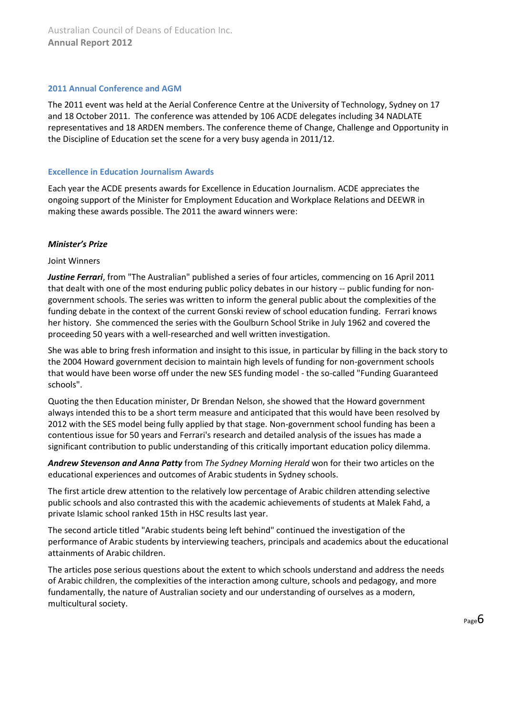#### <span id="page-5-0"></span>**2011 Annual Conference and AGM**

The 2011 event was held at the Aerial Conference Centre at the University of Technology, Sydney on 17 and 18 October 2011. The conference was attended by 106 ACDE delegates including 34 NADLATE representatives and 18 ARDEN members. The conference theme of Change, Challenge and Opportunity in the Discipline of Education set the scene for a very busy agenda in 2011/12.

#### <span id="page-5-1"></span>**Excellence in Education Journalism Awards**

Each year the ACDE presents awards for Excellence in Education Journalism. ACDE appreciates the ongoing support of the Minister for Employment Education and Workplace Relations and DEEWR in making these awards possible. The 2011 the award winners were:

#### *Minister's Prize*

#### Joint Winners

*Justine Ferrari*, from "The Australian" published a series of four articles, commencing on 16 April 2011 that dealt with one of the most enduring public policy debates in our history -- public funding for nongovernment schools. The series was written to inform the general public about the complexities of the funding debate in the context of the current Gonski review of school education funding. Ferrari knows her history. She commenced the series with the Goulburn School Strike in July 1962 and covered the proceeding 50 years with a well-researched and well written investigation.

She was able to bring fresh information and insight to this issue, in particular by filling in the back story to the 2004 Howard government decision to maintain high levels of funding for non-government schools that would have been worse off under the new SES funding model - the so-called "Funding Guaranteed schools".

Quoting the then Education minister, Dr Brendan Nelson, she showed that the Howard government always intended this to be a short term measure and anticipated that this would have been resolved by 2012 with the SES model being fully applied by that stage. Non-government school funding has been a contentious issue for 50 years and Ferrari's research and detailed analysis of the issues has made a significant contribution to public understanding of this critically important education policy dilemma.

*Andrew Stevenson and Anna Patty* from *The Sydney Morning Herald* won for their two articles on the educational experiences and outcomes of Arabic students in Sydney schools.

The first article drew attention to the relatively low percentage of Arabic children attending selective public schools and also contrasted this with the academic achievements of students at Malek Fahd, a private Islamic school ranked 15th in HSC results last year.

The second article titled "Arabic students being left behind" continued the investigation of the performance of Arabic students by interviewing teachers, principals and academics about the educational attainments of Arabic children.

The articles pose serious questions about the extent to which schools understand and address the needs of Arabic children, the complexities of the interaction among culture, schools and pedagogy, and more fundamentally, the nature of Australian society and our understanding of ourselves as a modern, multicultural society.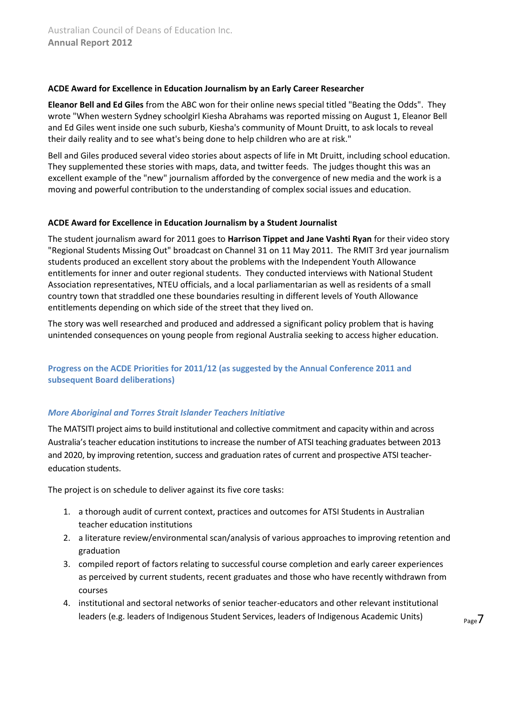#### **ACDE Award for Excellence in Education Journalism by an Early Career Researcher**

**Eleanor Bell and Ed Giles** from the ABC won for their online news special titled "Beating the Odds". They wrote "When western Sydney schoolgirl Kiesha Abrahams was reported missing on August 1, Eleanor Bell and Ed Giles went inside one such suburb, Kiesha's community of Mount Druitt, to ask locals to reveal their daily reality and to see what's being done to help children who are at risk."

Bell and Giles produced several video stories about aspects of life in Mt Druitt, including school education. They supplemented these stories with maps, data, and twitter feeds. The judges thought this was an excellent example of the "new" journalism afforded by the convergence of new media and the work is a moving and powerful contribution to the understanding of complex social issues and education.

#### **ACDE Award for Excellence in Education Journalism by a Student Journalist**

The student journalism award for 2011 goes to **Harrison Tippet and Jane Vashti Ryan** for their video story "Regional Students Missing Out" broadcast on Channel 31 on 11 May 2011. The RMIT 3rd year journalism students produced an excellent story about the problems with the Independent Youth Allowance entitlements for inner and outer regional students. They conducted interviews with National Student Association representatives, NTEU officials, and a local parliamentarian as well as residents of a small country town that straddled one these boundaries resulting in different levels of Youth Allowance entitlements depending on which side of the street that they lived on.

The story was well researched and produced and addressed a significant policy problem that is having unintended consequences on young people from regional Australia seeking to access higher education.

## <span id="page-6-0"></span>**Progress on the ACDE Priorities for 2011/12 (as suggested by the Annual Conference 2011 and subsequent Board deliberations)**

#### *More Aboriginal and Torres Strait Islander Teachers Initiative*

The MATSITI project aims to build institutional and collective commitment and capacity within and across Australia's teacher education institutions to increase the number of ATSI teaching graduates between 2013 and 2020, by improving retention, success and graduation rates of current and prospective ATSI teachereducation students.

The project is on schedule to deliver against its five core tasks:

- 1. a thorough audit of current context, practices and outcomes for ATSI Students in Australian teacher education institutions
- 2. a literature review/environmental scan/analysis of various approaches to improving retention and graduation
- 3. compiled report of factors relating to successful course completion and early career experiences as perceived by current students, recent graduates and those who have recently withdrawn from courses
- 4. institutional and sectoral networks of senior teacher-educators and other relevant institutional leaders (e.g. leaders of Indigenous Student Services, leaders of Indigenous Academic Units)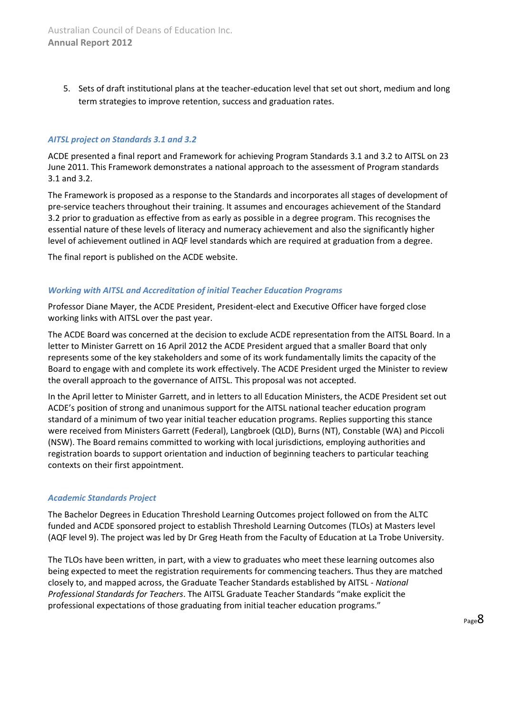5. Sets of draft institutional plans at the teacher-education level that set out short, medium and long term strategies to improve retention, success and graduation rates.

#### *AITSL project on Standards 3.1 and 3.2*

ACDE presented a final report and Framework for achieving Program Standards 3.1 and 3.2 to AITSL on 23 June 2011. This Framework demonstrates a national approach to the assessment of Program standards 3.1 and 3.2.

The Framework is proposed as a response to the Standards and incorporates all stages of development of pre-service teachers throughout their training. It assumes and encourages achievement of the Standard 3.2 prior to graduation as effective from as early as possible in a degree program. This recognises the essential nature of these levels of literacy and numeracy achievement and also the significantly higher level of achievement outlined in AQF level standards which are required at graduation from a degree.

The final report is published on the ACDE website.

#### *Working with AITSL and Accreditation of initial Teacher Education Programs*

Professor Diane Mayer, the ACDE President, President-elect and Executive Officer have forged close working links with AITSL over the past year.

The ACDE Board was concerned at the decision to exclude ACDE representation from the AITSL Board. In a letter to Minister Garrett on 16 April 2012 the ACDE President argued that a smaller Board that only represents some of the key stakeholders and some of its work fundamentally limits the capacity of the Board to engage with and complete its work effectively. The ACDE President urged the Minister to review the overall approach to the governance of AITSL. This proposal was not accepted.

In the April letter to Minister Garrett, and in letters to all Education Ministers, the ACDE President set out ACDE's position of strong and unanimous support for the AITSL national teacher education program standard of a minimum of two year initial teacher education programs. Replies supporting this stance were received from Ministers Garrett (Federal), Langbroek (QLD), Burns (NT), Constable (WA) and Piccoli (NSW). The Board remains committed to working with local jurisdictions, employing authorities and registration boards to support orientation and induction of beginning teachers to particular teaching contexts on their first appointment.

#### *Academic Standards Project*

The Bachelor Degrees in Education Threshold Learning Outcomes project followed on from the ALTC funded and ACDE sponsored project to establish Threshold Learning Outcomes (TLOs) at Masters level (AQF level 9). The project was led by Dr Greg Heath from the Faculty of Education at La Trobe University.

The TLOs have been written, in part, with a view to graduates who meet these learning outcomes also being expected to meet the registration requirements for commencing teachers. Thus they are matched closely to, and mapped across, the Graduate Teacher Standards established by AITSL ‐ *National Professional Standards for Teachers*. The AITSL Graduate Teacher Standards "make explicit the professional expectations of those graduating from initial teacher education programs."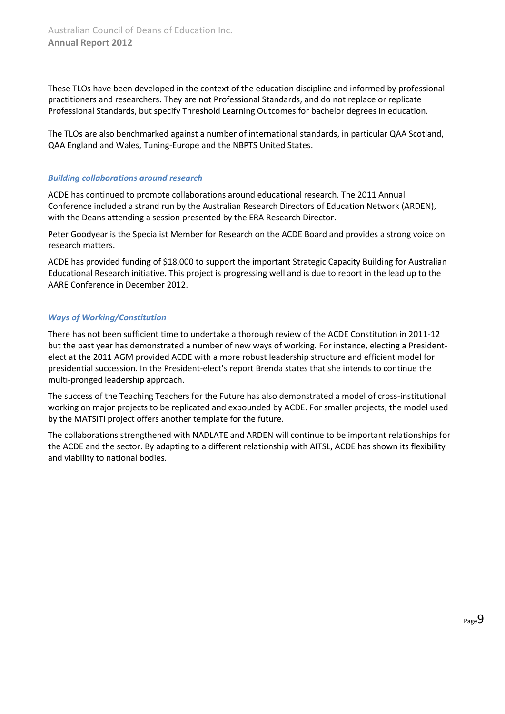These TLOs have been developed in the context of the education discipline and informed by professional practitioners and researchers. They are not Professional Standards, and do not replace or replicate Professional Standards, but specify Threshold Learning Outcomes for bachelor degrees in education.

The TLOs are also benchmarked against a number of international standards, in particular QAA Scotland, QAA England and Wales, Tuning‐Europe and the NBPTS United States.

#### *Building collaborations around research*

ACDE has continued to promote collaborations around educational research. The 2011 Annual Conference included a strand run by the Australian Research Directors of Education Network (ARDEN), with the Deans attending a session presented by the ERA Research Director.

Peter Goodyear is the Specialist Member for Research on the ACDE Board and provides a strong voice on research matters.

ACDE has provided funding of \$18,000 to support the important Strategic Capacity Building for Australian Educational Research initiative. This project is progressing well and is due to report in the lead up to the AARE Conference in December 2012.

## *Ways of Working/Constitution*

There has not been sufficient time to undertake a thorough review of the ACDE Constitution in 2011-12 but the past year has demonstrated a number of new ways of working. For instance, electing a Presidentelect at the 2011 AGM provided ACDE with a more robust leadership structure and efficient model for presidential succession. In the President-elect's report Brenda states that she intends to continue the multi-pronged leadership approach.

The success of the Teaching Teachers for the Future has also demonstrated a model of cross-institutional working on major projects to be replicated and expounded by ACDE. For smaller projects, the model used by the MATSITI project offers another template for the future.

<span id="page-8-0"></span>The collaborations strengthened with NADLATE and ARDEN will continue to be important relationships for the ACDE and the sector. By adapting to a different relationship with AITSL, ACDE has shown its flexibility and viability to national bodies.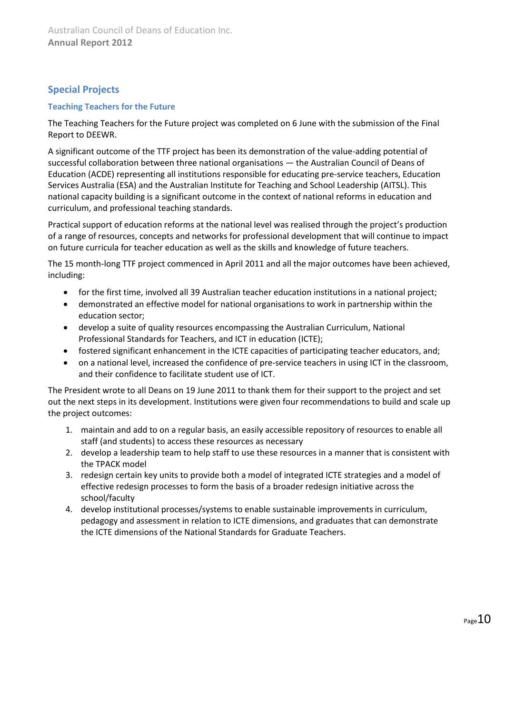# **Special Projects**

#### <span id="page-9-0"></span>**Teaching Teachers for the Future**

The Teaching Teachers for the Future project was completed on 6 June with the submission of the Final Report to DEEWR.

A significant outcome of the TTF project has been its demonstration of the value-adding potential of successful collaboration between three national organisations — the Australian Council of Deans of Education (ACDE) representing all institutions responsible for educating pre-service teachers, Education Services Australia (ESA) and the Australian Institute for Teaching and School Leadership (AITSL). This national capacity building is a significant outcome in the context of national reforms in education and curriculum, and professional teaching standards.

Practical support of education reforms at the national level was realised through the project's production of a range of resources, concepts and networks for professional development that will continue to impact on future curricula for teacher education as well as the skills and knowledge of future teachers.

The 15 month-long TTF project commenced in April 2011 and all the major outcomes have been achieved, including:

- for the first time, involved all 39 Australian teacher education institutions in a national project;
- demonstrated an effective model for national organisations to work in partnership within the education sector;
- develop a suite of quality resources encompassing the Australian Curriculum, National Professional Standards for Teachers, and ICT in education (ICTE);
- fostered significant enhancement in the ICTE capacities of participating teacher educators, and;
- on a national level, increased the confidence of pre-service teachers in using ICT in the classroom, and their confidence to facilitate student use of ICT.

The President wrote to all Deans on 19 June 2011 to thank them for their support to the project and set out the next steps in its development. Institutions were given four recommendations to build and scale up the project outcomes:

- 1. maintain and add to on a regular basis, an easily accessible repository of resources to enable all staff (and students) to access these resources as necessary
- 2. develop a leadership team to help staff to use these resources in a manner that is consistent with the TPACK model
- 3. redesign certain key units to provide both a model of integrated ICTE strategies and a model of effective redesign processes to form the basis of a broader redesign initiative across the school/faculty
- <span id="page-9-1"></span>4. develop institutional processes/systems to enable sustainable improvements in curriculum, pedagogy and assessment in relation to ICTE dimensions, and graduates that can demonstrate the ICTE dimensions of the National Standards for Graduate Teachers.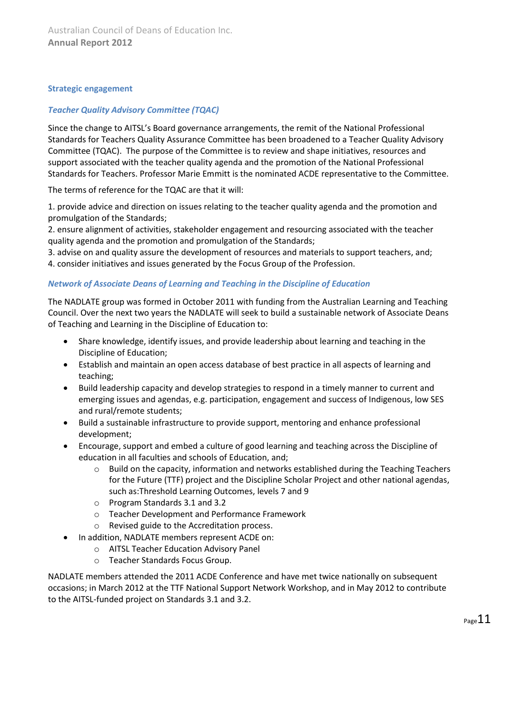#### **Strategic engagement**

#### *Teacher Quality Advisory Committee (TQAC)*

Since the change to AITSL's Board governance arrangements, the remit of the National Professional Standards for Teachers Quality Assurance Committee has been broadened to a Teacher Quality Advisory Committee (TQAC). The purpose of the Committee is to review and shape initiatives, resources and support associated with the teacher quality agenda and the promotion of the National Professional Standards for Teachers. Professor Marie Emmitt is the nominated ACDE representative to the Committee.

The terms of reference for the TQAC are that it will:

1. provide advice and direction on issues relating to the teacher quality agenda and the promotion and promulgation of the Standards;

2. ensure alignment of activities, stakeholder engagement and resourcing associated with the teacher quality agenda and the promotion and promulgation of the Standards;

3. advise on and quality assure the development of resources and materials to support teachers, and;

4. consider initiatives and issues generated by the Focus Group of the Profession.

#### *Network of Associate Deans of Learning and Teaching in the Discipline of Education*

The NADLATE group was formed in October 2011 with funding from the Australian Learning and Teaching Council. Over the next two years the NADLATE will seek to build a sustainable network of Associate Deans of Teaching and Learning in the Discipline of Education to:

- Share knowledge, identify issues, and provide leadership about learning and teaching in the Discipline of Education;
- Establish and maintain an open access database of best practice in all aspects of learning and teaching;
- Build leadership capacity and develop strategies to respond in a timely manner to current and emerging issues and agendas, e.g. participation, engagement and success of Indigenous, low SES and rural/remote students;
- Build a sustainable infrastructure to provide support, mentoring and enhance professional development;
- Encourage, support and embed a culture of good learning and teaching across the Discipline of education in all faculties and schools of Education, and;
	- $\circ$  Build on the capacity, information and networks established during the Teaching Teachers for the Future (TTF) project and the Discipline Scholar Project and other national agendas, such as:Threshold Learning Outcomes, levels 7 and 9
	- o Program Standards 3.1 and 3.2
	- o Teacher Development and Performance Framework
	- o Revised guide to the Accreditation process.
- In addition, NADLATE members represent ACDE on:
	- o AITSL Teacher Education Advisory Panel
	- o Teacher Standards Focus Group.

NADLATE members attended the 2011 ACDE Conference and have met twice nationally on subsequent occasions; in March 2012 at the TTF National Support Network Workshop, and in May 2012 to contribute to the AITSL-funded project on Standards 3.1 and 3.2.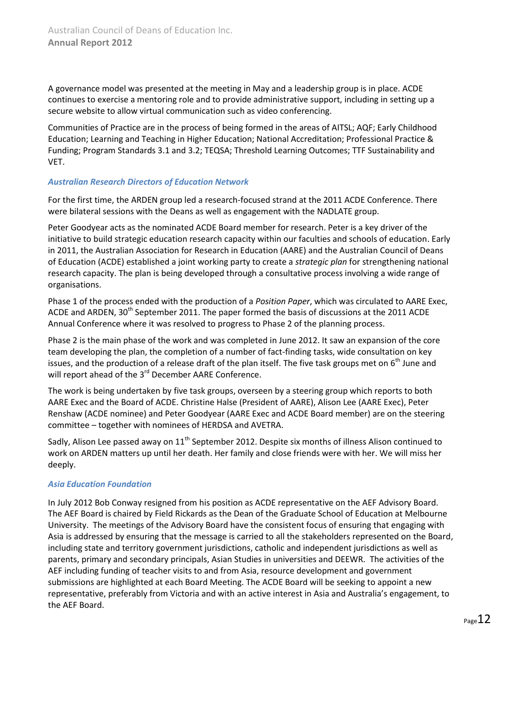A governance model was presented at the meeting in May and a leadership group is in place. ACDE continues to exercise a mentoring role and to provide administrative support, including in setting up a secure website to allow virtual communication such as video conferencing.

Communities of Practice are in the process of being formed in the areas of AITSL; AQF; Early Childhood Education; Learning and Teaching in Higher Education; National Accreditation; Professional Practice & Funding; Program Standards 3.1 and 3.2; TEQSA; Threshold Learning Outcomes; TTF Sustainability and VET.

#### *Australian Research Directors of Education Network*

For the first time, the ARDEN group led a research-focused strand at the 2011 ACDE Conference. There were bilateral sessions with the Deans as well as engagement with the NADLATE group.

Peter Goodyear acts as the nominated ACDE Board member for research. Peter is a key driver of the initiative to build strategic education research capacity within our faculties and schools of education. Early in 2011, the Australian Association for Research in Education (AARE) and the Australian Council of Deans of Education (ACDE) established a joint working party to create a *strategic plan* for strengthening national research capacity. The plan is being developed through a consultative process involving a wide range of organisations.

Phase 1 of the process ended with the production of a *Position Paper*, which was circulated to AARE Exec, ACDE and ARDEN, 30<sup>th</sup> September 2011. The paper formed the basis of discussions at the 2011 ACDE Annual Conference where it was resolved to progress to Phase 2 of the planning process.

Phase 2 is the main phase of the work and was completed in June 2012. It saw an expansion of the core team developing the plan, the completion of a number of fact-finding tasks, wide consultation on key issues, and the production of a release draft of the plan itself. The five task groups met on  $6<sup>th</sup>$  June and will report ahead of the 3<sup>rd</sup> December AARE Conference.

The work is being undertaken by five task groups, overseen by a steering group which reports to both AARE Exec and the Board of ACDE. Christine Halse (President of AARE), Alison Lee (AARE Exec), Peter Renshaw (ACDE nominee) and Peter Goodyear (AARE Exec and ACDE Board member) are on the steering committee – together with nominees of HERDSA and AVETRA.

Sadly, Alison Lee passed away on 11<sup>th</sup> September 2012. Despite six months of illness Alison continued to work on ARDEN matters up until her death. Her family and close friends were with her. We will miss her deeply.

#### *Asia Education Foundation*

In July 2012 Bob Conway resigned from his position as ACDE representative on the AEF Advisory Board. The AEF Board is chaired by Field Rickards as the Dean of the Graduate School of Education at Melbourne University. The meetings of the Advisory Board have the consistent focus of ensuring that engaging with Asia is addressed by ensuring that the message is carried to all the stakeholders represented on the Board, including state and territory government jurisdictions, catholic and independent jurisdictions as well as parents, primary and secondary principals, Asian Studies in universities and DEEWR. The activities of the AEF including funding of teacher visits to and from Asia, resource development and government submissions are highlighted at each Board Meeting. The ACDE Board will be seeking to appoint a new representative, preferably from Victoria and with an active interest in Asia and Australia's engagement, to the AEF Board.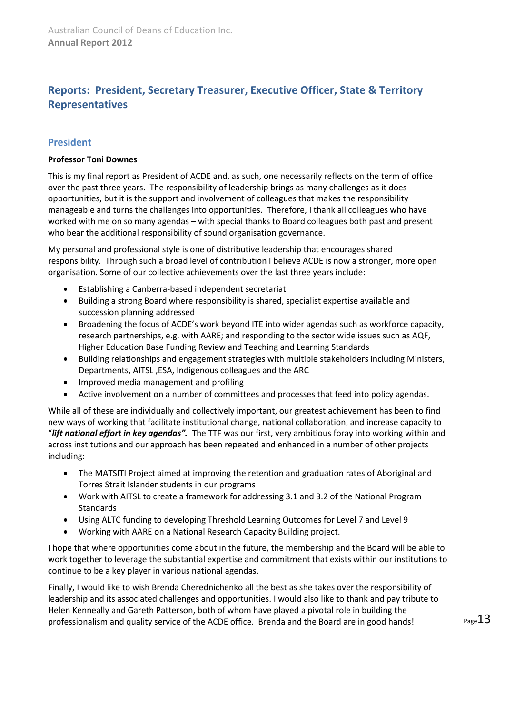# <span id="page-12-0"></span>**Reports: President, Secretary Treasurer, Executive Officer, State & Territory Representatives**

# <span id="page-12-1"></span>**President**

#### **Professor Toni Downes**

This is my final report as President of ACDE and, as such, one necessarily reflects on the term of office over the past three years. The responsibility of leadership brings as many challenges as it does opportunities, but it is the support and involvement of colleagues that makes the responsibility manageable and turns the challenges into opportunities. Therefore, I thank all colleagues who have worked with me on so many agendas – with special thanks to Board colleagues both past and present who bear the additional responsibility of sound organisation governance.

My personal and professional style is one of distributive leadership that encourages shared responsibility. Through such a broad level of contribution I believe ACDE is now a stronger, more open organisation. Some of our collective achievements over the last three years include:

- Establishing a Canberra-based independent secretariat
- Building a strong Board where responsibility is shared, specialist expertise available and succession planning addressed
- Broadening the focus of ACDE's work beyond ITE into wider agendas such as workforce capacity, research partnerships, e.g. with AARE; and responding to the sector wide issues such as AQF, Higher Education Base Funding Review and Teaching and Learning Standards
- Building relationships and engagement strategies with multiple stakeholders including Ministers, Departments, AITSL ,ESA, Indigenous colleagues and the ARC
- Improved media management and profiling
- Active involvement on a number of committees and processes that feed into policy agendas.

While all of these are individually and collectively important, our greatest achievement has been to find new ways of working that facilitate institutional change, national collaboration, and increase capacity to "*lift national effort in key agendas".* The TTF was our first, very ambitious foray into working within and across institutions and our approach has been repeated and enhanced in a number of other projects including:

- The MATSITI Project aimed at improving the retention and graduation rates of Aboriginal and Torres Strait Islander students in our programs
- Work with AITSL to create a framework for addressing 3.1 and 3.2 of the National Program Standards
- Using ALTC funding to developing Threshold Learning Outcomes for Level 7 and Level 9
- Working with AARE on a National Research Capacity Building project.

I hope that where opportunities come about in the future, the membership and the Board will be able to work together to leverage the substantial expertise and commitment that exists within our institutions to continue to be a key player in various national agendas.

Finally, I would like to wish Brenda Cherednichenko all the best as she takes over the responsibility of leadership and its associated challenges and opportunities. I would also like to thank and pay tribute to Helen Kenneally and Gareth Patterson, both of whom have played a pivotal role in building the professionalism and quality service of the ACDE office. Brenda and the Board are in good hands!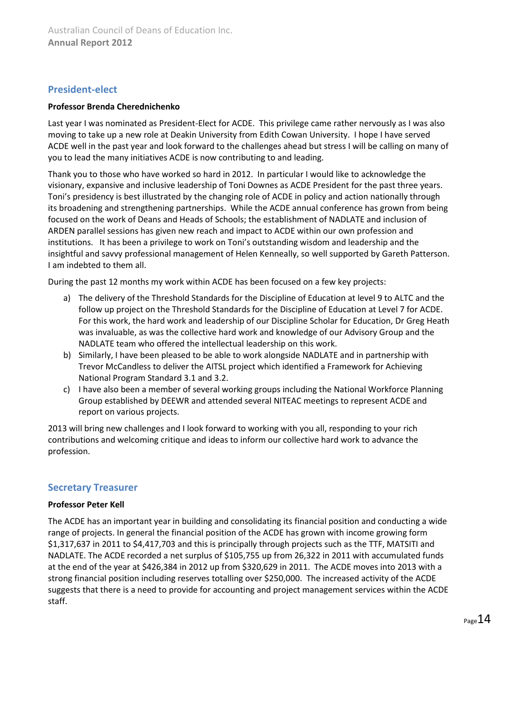# <span id="page-13-0"></span>**President-elect**

#### **Professor Brenda Cherednichenko**

Last year I was nominated as President-Elect for ACDE. This privilege came rather nervously as I was also moving to take up a new role at Deakin University from Edith Cowan University. I hope I have served ACDE well in the past year and look forward to the challenges ahead but stress I will be calling on many of you to lead the many initiatives ACDE is now contributing to and leading.

Thank you to those who have worked so hard in 2012. In particular I would like to acknowledge the visionary, expansive and inclusive leadership of Toni Downes as ACDE President for the past three years. Toni's presidency is best illustrated by the changing role of ACDE in policy and action nationally through its broadening and strengthening partnerships. While the ACDE annual conference has grown from being focused on the work of Deans and Heads of Schools; the establishment of NADLATE and inclusion of ARDEN parallel sessions has given new reach and impact to ACDE within our own profession and institutions. It has been a privilege to work on Toni's outstanding wisdom and leadership and the insightful and savvy professional management of Helen Kenneally, so well supported by Gareth Patterson. I am indebted to them all.

During the past 12 months my work within ACDE has been focused on a few key projects:

- a) The delivery of the Threshold Standards for the Discipline of Education at level 9 to ALTC and the follow up project on the Threshold Standards for the Discipline of Education at Level 7 for ACDE. For this work, the hard work and leadership of our Discipline Scholar for Education, Dr Greg Heath was invaluable, as was the collective hard work and knowledge of our Advisory Group and the NADLATE team who offered the intellectual leadership on this work.
- b) Similarly, I have been pleased to be able to work alongside NADLATE and in partnership with Trevor McCandless to deliver the AITSL project which identified a Framework for Achieving National Program Standard 3.1 and 3.2.
- c) I have also been a member of several working groups including the National Workforce Planning Group established by DEEWR and attended several NITEAC meetings to represent ACDE and report on various projects.

2013 will bring new challenges and I look forward to working with you all, responding to your rich contributions and welcoming critique and ideas to inform our collective hard work to advance the profession.

# <span id="page-13-1"></span>**Secretary Treasurer**

#### **Professor Peter Kell**

The ACDE has an important year in building and consolidating its financial position and conducting a wide range of projects. In general the financial position of the ACDE has grown with income growing form \$1,317,637 in 2011 to \$4,417,703 and this is principally through projects such as the TTF, MATSITI and NADLATE. The ACDE recorded a net surplus of \$105,755 up from 26,322 in 2011 with accumulated funds at the end of the year at \$426,384 in 2012 up from \$320,629 in 2011. The ACDE moves into 2013 with a strong financial position including reserves totalling over \$250,000. The increased activity of the ACDE suggests that there is a need to provide for accounting and project management services within the ACDE staff.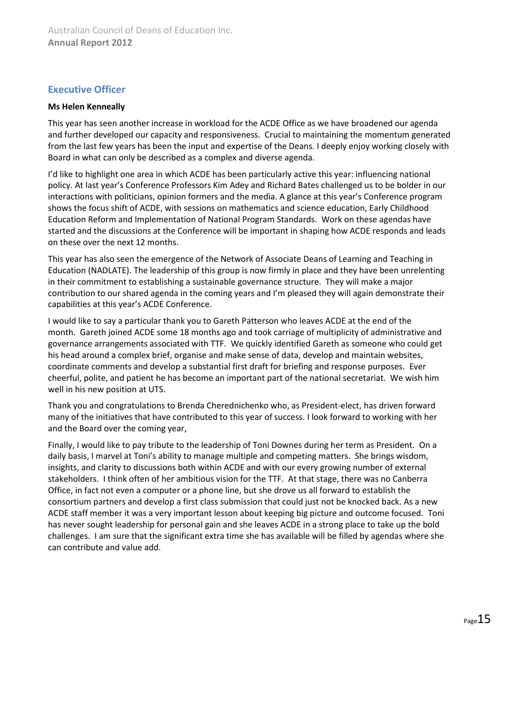# <span id="page-14-0"></span>**Executive Officer**

#### **Ms Helen Kenneally**

This year has seen another increase in workload for the ACDE Office as we have broadened our agenda and further developed our capacity and responsiveness. Crucial to maintaining the momentum generated from the last few years has been the input and expertise of the Deans. I deeply enjoy working closely with Board in what can only be described as a complex and diverse agenda.

I'd like to highlight one area in which ACDE has been particularly active this year: influencing national policy. At last year's Conference Professors Kim Adey and Richard Bates challenged us to be bolder in our interactions with politicians, opinion formers and the media. A glance at this year's Conference program shows the focus shift of ACDE, with sessions on mathematics and science education, Early Childhood Education Reform and Implementation of National Program Standards. Work on these agendas have started and the discussions at the Conference will be important in shaping how ACDE responds and leads on these over the next 12 months.

This year has also seen the emergence of the Network of Associate Deans of Learning and Teaching in Education (NADLATE). The leadership of this group is now firmly in place and they have been unrelenting in their commitment to establishing a sustainable governance structure. They will make a major contribution to our shared agenda in the coming years and I'm pleased they will again demonstrate their capabilities at this year's ACDE Conference.

I would like to say a particular thank you to Gareth Patterson who leaves ACDE at the end of the month. Gareth joined ACDE some 18 months ago and took carriage of multiplicity of administrative and governance arrangements associated with TTF. We quickly identified Gareth as someone who could get his head around a complex brief, organise and make sense of data, develop and maintain websites, coordinate comments and develop a substantial first draft for briefing and response purposes. Ever cheerful, polite, and patient he has become an important part of the national secretariat. We wish him well in his new position at UTS.

Thank you and congratulations to Brenda Cherednichenko who, as President-elect, has driven forward many of the initiatives that have contributed to this year of success. I look forward to working with her and the Board over the coming year,

Finally, I would like to pay tribute to the leadership of Toni Downes during her term as President. On a daily basis, I marvel at Toni's ability to manage multiple and competing matters. She brings wisdom, insights, and clarity to discussions both within ACDE and with our every growing number of external stakeholders. I think often of her ambitious vision for the TTF. At that stage, there was no Canberra Office, in fact not even a computer or a phone line, but she drove us all forward to establish the consortium partners and develop a first class submission that could just not be knocked back. As a new ACDE staff member it was a very important lesson about keeping big picture and outcome focused. Toni has never sought leadership for personal gain and she leaves ACDE in a strong place to take up the bold challenges. I am sure that the significant extra time she has available will be filled by agendas where she can contribute and value add.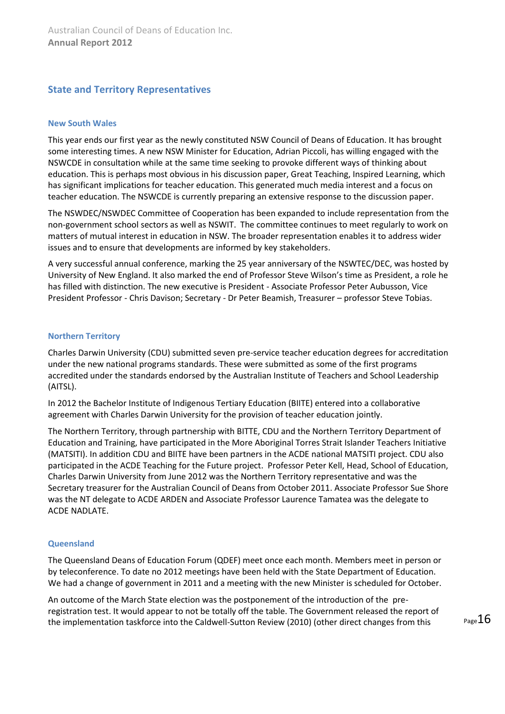# <span id="page-15-0"></span>**State and Territory Representatives**

#### <span id="page-15-1"></span>**New South Wales**

This year ends our first year as the newly constituted NSW Council of Deans of Education. It has brought some interesting times. A new NSW Minister for Education, Adrian Piccoli, has willing engaged with the NSWCDE in consultation while at the same time seeking to provoke different ways of thinking about education. This is perhaps most obvious in his discussion paper, Great Teaching, Inspired Learning, which has significant implications for teacher education. This generated much media interest and a focus on teacher education. The NSWCDE is currently preparing an extensive response to the discussion paper.

The NSWDEC/NSWDEC Committee of Cooperation has been expanded to include representation from the non-government school sectors as well as NSWIT. The committee continues to meet regularly to work on matters of mutual interest in education in NSW. The broader representation enables it to address wider issues and to ensure that developments are informed by key stakeholders.

A very successful annual conference, marking the 25 year anniversary of the NSWTEC/DEC, was hosted by University of New England. It also marked the end of Professor Steve Wilson's time as President, a role he has filled with distinction. The new executive is President - Associate Professor Peter Aubusson, Vice President Professor - Chris Davison; Secretary - Dr Peter Beamish, Treasurer – professor Steve Tobias.

#### <span id="page-15-2"></span>**Northern Territory**

Charles Darwin University (CDU) submitted seven pre-service teacher education degrees for accreditation under the new national programs standards. These were submitted as some of the first programs accredited under the standards endorsed by the Australian Institute of Teachers and School Leadership (AITSL).

In 2012 the Bachelor Institute of Indigenous Tertiary Education (BIITE) entered into a collaborative agreement with Charles Darwin University for the provision of teacher education jointly.

The Northern Territory, through partnership with BITTE, CDU and the Northern Territory Department of Education and Training, have participated in the More Aboriginal Torres Strait Islander Teachers Initiative (MATSITI). In addition CDU and BIITE have been partners in the ACDE national MATSITI project. CDU also participated in the ACDE Teaching for the Future project. Professor Peter Kell, Head, School of Education, Charles Darwin University from June 2012 was the Northern Territory representative and was the Secretary treasurer for the Australian Council of Deans from October 2011. Associate Professor Sue Shore was the NT delegate to ACDE ARDEN and Associate Professor Laurence Tamatea was the delegate to ACDE NADLATE.

#### <span id="page-15-3"></span>**Queensland**

The Queensland Deans of Education Forum (QDEF) meet once each month. Members meet in person or by teleconference. To date no 2012 meetings have been held with the State Department of Education. We had a change of government in 2011 and a meeting with the new Minister is scheduled for October.

An outcome of the March State election was the postponement of the introduction of the preregistration test. It would appear to not be totally off the table. The Government released the report of the implementation taskforce into the Caldwell-Sutton Review (2010) (other direct changes from this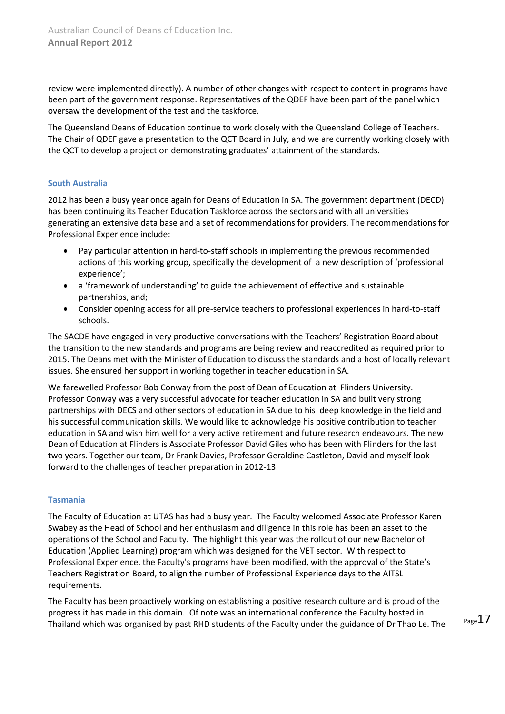review were implemented directly). A number of other changes with respect to content in programs have been part of the government response. Representatives of the QDEF have been part of the panel which oversaw the development of the test and the taskforce.

The Queensland Deans of Education continue to work closely with the Queensland College of Teachers. The Chair of QDEF gave a presentation to the QCT Board in July, and we are currently working closely with the QCT to develop a project on demonstrating graduates' attainment of the standards.

#### <span id="page-16-0"></span>**South Australia**

2012 has been a busy year once again for Deans of Education in SA. The government department (DECD) has been continuing its Teacher Education Taskforce across the sectors and with all universities generating an extensive data base and a set of recommendations for providers. The recommendations for Professional Experience include:

- Pay particular attention in hard-to-staff schools in implementing the previous recommended actions of this working group, specifically the development of a new description of 'professional experience';
- a 'framework of understanding' to guide the achievement of effective and sustainable partnerships, and;
- Consider opening access for all pre-service teachers to professional experiences in hard-to-staff schools.

The SACDE have engaged in very productive conversations with the Teachers' Registration Board about the transition to the new standards and programs are being review and reaccredited as required prior to 2015. The Deans met with the Minister of Education to discuss the standards and a host of locally relevant issues. She ensured her support in working together in teacher education in SA.

We farewelled Professor Bob Conway from the post of Dean of Education at Flinders University. Professor Conway was a very successful advocate for teacher education in SA and built very strong partnerships with DECS and other sectors of education in SA due to his deep knowledge in the field and his successful communication skills. We would like to acknowledge his positive contribution to teacher education in SA and wish him well for a very active retirement and future research endeavours. The new Dean of Education at Flinders is Associate Professor David Giles who has been with Flinders for the last two years. Together our team, Dr Frank Davies, Professor Geraldine Castleton, David and myself look forward to the challenges of teacher preparation in 2012-13.

#### <span id="page-16-1"></span>**Tasmania**

The Faculty of Education at UTAS has had a busy year. The Faculty welcomed Associate Professor Karen Swabey as the Head of School and her enthusiasm and diligence in this role has been an asset to the operations of the School and Faculty. The highlight this year was the rollout of our new Bachelor of Education (Applied Learning) program which was designed for the VET sector. With respect to Professional Experience, the Faculty's programs have been modified, with the approval of the State's Teachers Registration Board, to align the number of Professional Experience days to the AITSL requirements.

The Faculty has been proactively working on establishing a positive research culture and is proud of the progress it has made in this domain. Of note was an international conference the Faculty hosted in Thailand which was organised by past RHD students of the Faculty under the guidance of Dr Thao Le. The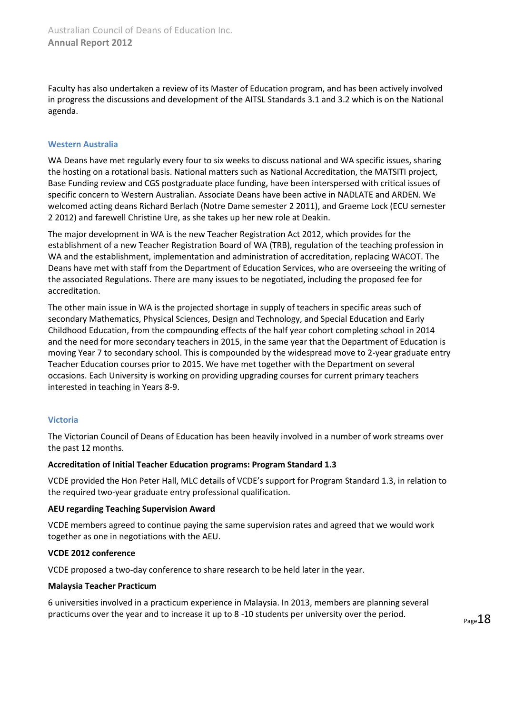Faculty has also undertaken a review of its Master of Education program, and has been actively involved in progress the discussions and development of the AITSL Standards 3.1 and 3.2 which is on the National agenda.

#### <span id="page-17-0"></span>**Western Australia**

WA Deans have met regularly every four to six weeks to discuss national and WA specific issues, sharing the hosting on a rotational basis. National matters such as National Accreditation, the MATSITI project, Base Funding review and CGS postgraduate place funding, have been interspersed with critical issues of specific concern to Western Australian. Associate Deans have been active in NADLATE and ARDEN. We welcomed acting deans Richard Berlach (Notre Dame semester 2 2011), and Graeme Lock (ECU semester 2 2012) and farewell Christine Ure, as she takes up her new role at Deakin.

The major development in WA is the new Teacher Registration Act 2012, which provides for the establishment of a new Teacher Registration Board of WA (TRB), regulation of the teaching profession in WA and the establishment, implementation and administration of accreditation, replacing WACOT. The Deans have met with staff from the Department of Education Services, who are overseeing the writing of the associated Regulations. There are many issues to be negotiated, including the proposed fee for accreditation.

The other main issue in WA is the projected shortage in supply of teachers in specific areas such of secondary Mathematics, Physical Sciences, Design and Technology, and Special Education and Early Childhood Education, from the compounding effects of the half year cohort completing school in 2014 and the need for more secondary teachers in 2015, in the same year that the Department of Education is moving Year 7 to secondary school. This is compounded by the widespread move to 2-year graduate entry Teacher Education courses prior to 2015. We have met together with the Department on several occasions. Each University is working on providing upgrading courses for current primary teachers interested in teaching in Years 8-9.

#### <span id="page-17-1"></span>**Victoria**

The Victorian Council of Deans of Education has been heavily involved in a number of work streams over the past 12 months.

#### **Accreditation of Initial Teacher Education programs: Program Standard 1.3**

VCDE provided the Hon Peter Hall, MLC details of VCDE's support for Program Standard 1.3, in relation to the required two-year graduate entry professional qualification.

#### **AEU regarding Teaching Supervision Award**

VCDE members agreed to continue paying the same supervision rates and agreed that we would work together as one in negotiations with the AEU.

#### **VCDE 2012 conference**

VCDE proposed a two-day conference to share research to be held later in the year.

#### **Malaysia Teacher Practicum**

6 universities involved in a practicum experience in Malaysia. In 2013, members are planning several practicums over the year and to increase it up to 8 -10 students per university over the period.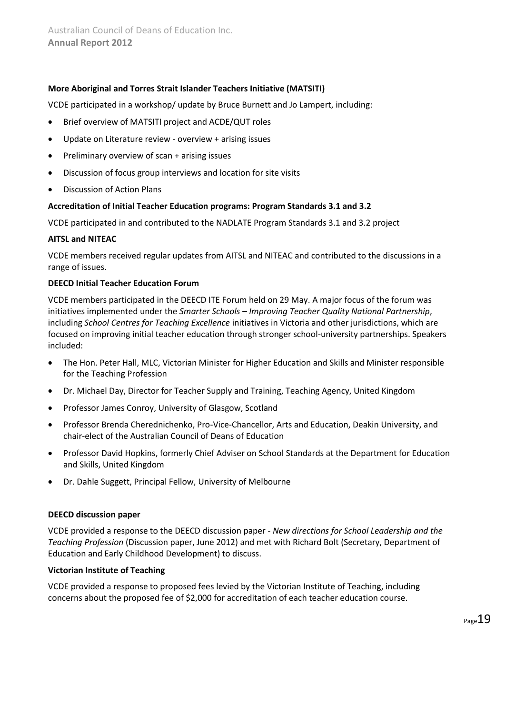#### **More Aboriginal and Torres Strait Islander Teachers Initiative (MATSITI)**

VCDE participated in a workshop/ update by Bruce Burnett and Jo Lampert, including:

- Brief overview of MATSITI project and ACDE/QUT roles
- Update on Literature review overview + arising issues
- Preliminary overview of scan + arising issues
- Discussion of focus group interviews and location for site visits
- Discussion of Action Plans

#### **Accreditation of Initial Teacher Education programs: Program Standards 3.1 and 3.2**

VCDE participated in and contributed to the NADLATE Program Standards 3.1 and 3.2 project

#### **AITSL and NITEAC**

VCDE members received regular updates from AITSL and NITEAC and contributed to the discussions in a range of issues.

#### **DEECD Initial Teacher Education Forum**

VCDE members participated in the DEECD ITE Forum held on 29 May. A major focus of the forum was initiatives implemented under the *Smarter Schools – Improving Teacher Quality National Partnership*, including *School Centres for Teaching Excellence* initiatives in Victoria and other jurisdictions, which are focused on improving initial teacher education through stronger school-university partnerships. Speakers included:

- The Hon. Peter Hall, MLC, Victorian Minister for Higher Education and Skills and Minister responsible for the Teaching Profession
- Dr. Michael Day, Director for Teacher Supply and Training, Teaching Agency, United Kingdom
- Professor James Conroy, University of Glasgow, Scotland
- Professor Brenda Cherednichenko, Pro-Vice-Chancellor, Arts and Education, Deakin University, and chair-elect of the Australian Council of Deans of Education
- Professor David Hopkins, formerly Chief Adviser on School Standards at the Department for Education and Skills, United Kingdom
- Dr. Dahle Suggett, Principal Fellow, University of Melbourne

#### **DEECD discussion paper**

VCDE provided a response to the DEECD discussion paper - *New directions for School Leadership and the Teaching Profession* (Discussion paper, June 2012) and met with Richard Bolt (Secretary, Department of Education and Early Childhood Development) to discuss.

#### **Victorian Institute of Teaching**

VCDE provided a response to proposed fees levied by the Victorian Institute of Teaching, including concerns about the proposed fee of \$2,000 for accreditation of each teacher education course.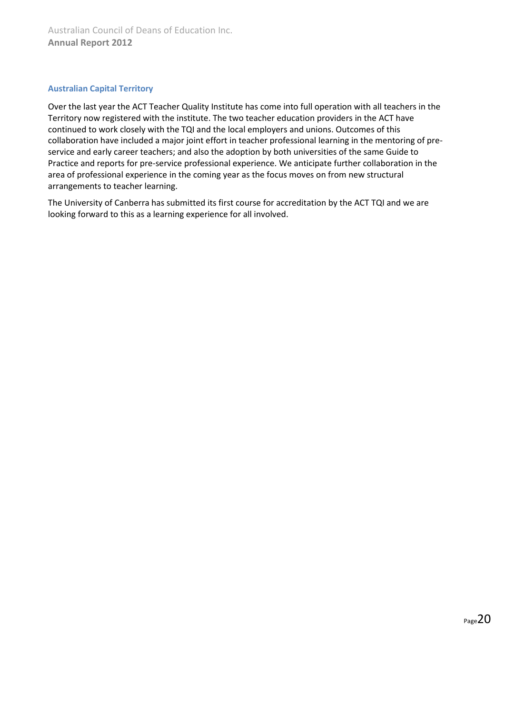#### <span id="page-19-0"></span>**Australian Capital Territory**

Over the last year the ACT Teacher Quality Institute has come into full operation with all teachers in the Territory now registered with the institute. The two teacher education providers in the ACT have continued to work closely with the TQI and the local employers and unions. Outcomes of this collaboration have included a major joint effort in teacher professional learning in the mentoring of preservice and early career teachers; and also the adoption by both universities of the same Guide to Practice and reports for pre-service professional experience. We anticipate further collaboration in the area of professional experience in the coming year as the focus moves on from new structural arrangements to teacher learning.

<span id="page-19-1"></span>The University of Canberra has submitted its first course for accreditation by the ACT TQI and we are looking forward to this as a learning experience for all involved.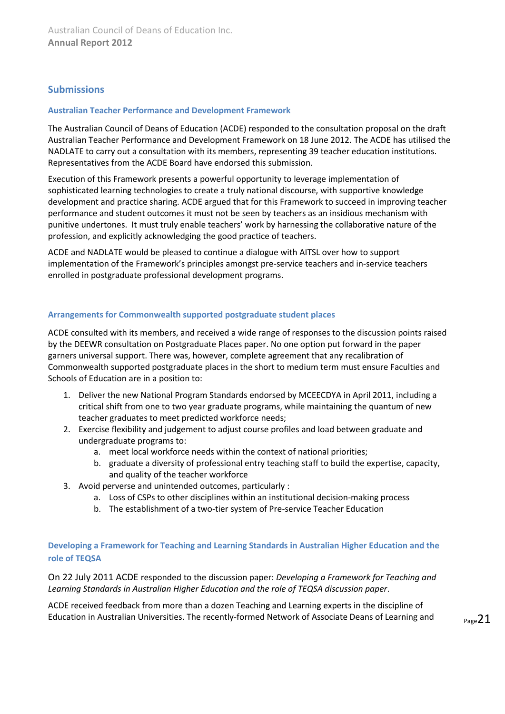## **Submissions**

#### <span id="page-20-0"></span>**Australian Teacher Performance and Development Framework**

The Australian Council of Deans of Education (ACDE) responded to the consultation proposal on the draft Australian Teacher Performance and Development Framework on 18 June 2012. The ACDE has utilised the NADLATE to carry out a consultation with its members, representing 39 teacher education institutions. Representatives from the ACDE Board have endorsed this submission.

Execution of this Framework presents a powerful opportunity to leverage implementation of sophisticated learning technologies to create a truly national discourse, with supportive knowledge development and practice sharing. ACDE argued that for this Framework to succeed in improving teacher performance and student outcomes it must not be seen by teachers as an insidious mechanism with punitive undertones. It must truly enable teachers' work by harnessing the collaborative nature of the profession, and explicitly acknowledging the good practice of teachers.

ACDE and NADLATE would be pleased to continue a dialogue with AITSL over how to support implementation of the Framework's principles amongst pre-service teachers and in-service teachers enrolled in postgraduate professional development programs.

#### <span id="page-20-1"></span>**Arrangements for Commonwealth supported postgraduate student places**

ACDE consulted with its members, and received a wide range of responses to the discussion points raised by the DEEWR consultation on Postgraduate Places paper. No one option put forward in the paper garners universal support. There was, however, complete agreement that any recalibration of Commonwealth supported postgraduate places in the short to medium term must ensure Faculties and Schools of Education are in a position to:

- 1. Deliver the new National Program Standards endorsed by MCEECDYA in April 2011, including a critical shift from one to two year graduate programs, while maintaining the quantum of new teacher graduates to meet predicted workforce needs;
- 2. Exercise flexibility and judgement to adjust course profiles and load between graduate and undergraduate programs to:
	- a. meet local workforce needs within the context of national priorities;
	- b. graduate a diversity of professional entry teaching staff to build the expertise, capacity, and quality of the teacher workforce
- 3. Avoid perverse and unintended outcomes, particularly :
	- a. Loss of CSPs to other disciplines within an institutional decision-making process
	- b. The establishment of a two-tier system of Pre-service Teacher Education

#### <span id="page-20-2"></span>**Developing a Framework for Teaching and Learning Standards in Australian Higher Education and the role of TEQSA**

On 22 July 2011 ACDE responded to the discussion paper: *Developing a Framework for Teaching and Learning Standards in Australian Higher Education and the role of TEQSA discussion paper*.

ACDE received feedback from more than a dozen Teaching and Learning experts in the discipline of Education in Australian Universities. The recently-formed Network of Associate Deans of Learning and